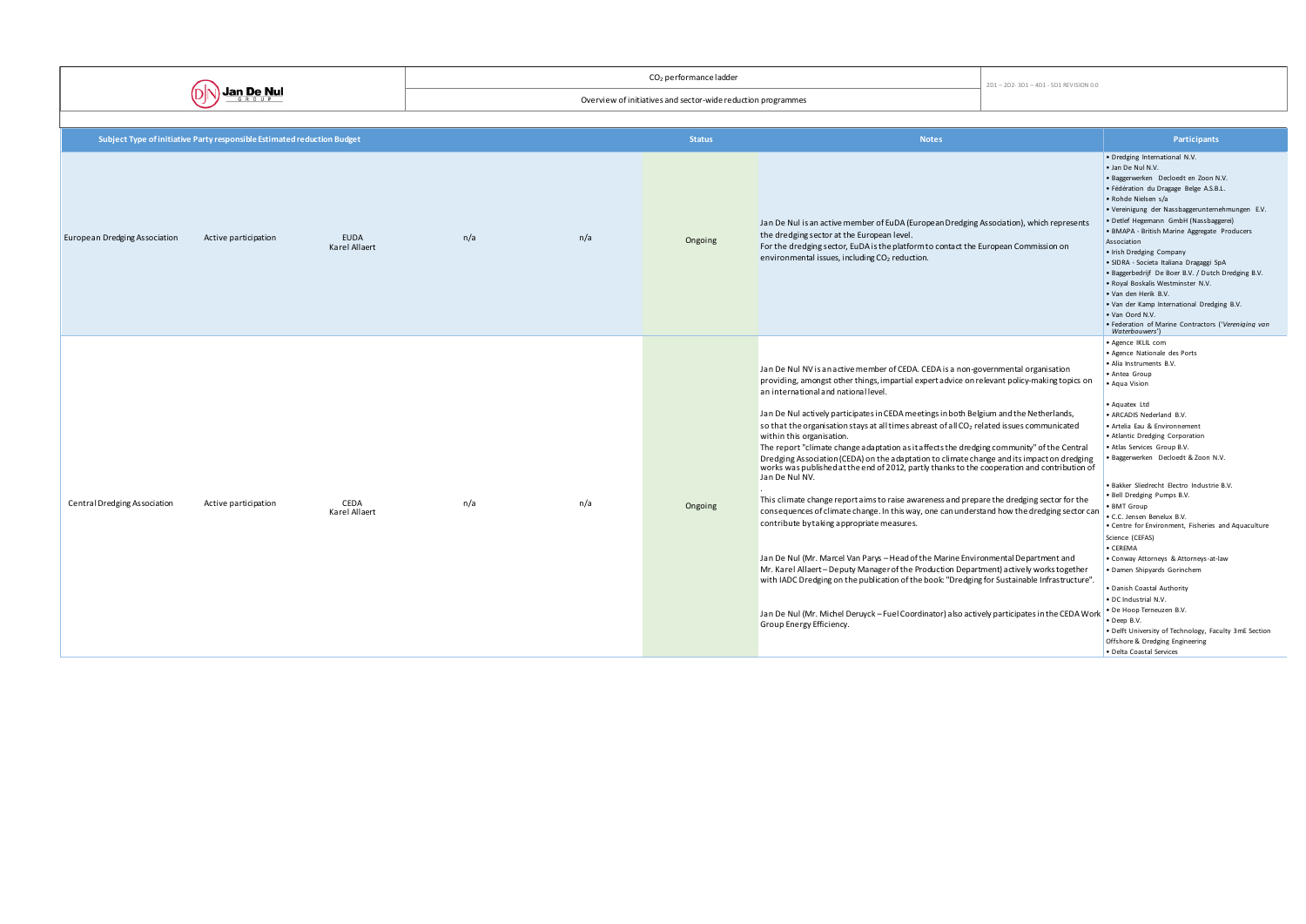|                               |                                                                         |                       |     |                                                              | 2D1-2D2-3D1-4D1-5D1 REVISION 0.0 |                                                                                                                                                                                                                                                                                                                                                                                                                                                                                                                                                                                                                                                                                                                                                                                                                                                                                                                                                                                                                                                                                                                                                                                                                                                                                                                                                                                                                                      |  |                                                                                                                                                                                                                                                                                                                                                                                                                                                                                                                                                                                                                                                                                                                                                                                                                                |
|-------------------------------|-------------------------------------------------------------------------|-----------------------|-----|--------------------------------------------------------------|----------------------------------|--------------------------------------------------------------------------------------------------------------------------------------------------------------------------------------------------------------------------------------------------------------------------------------------------------------------------------------------------------------------------------------------------------------------------------------------------------------------------------------------------------------------------------------------------------------------------------------------------------------------------------------------------------------------------------------------------------------------------------------------------------------------------------------------------------------------------------------------------------------------------------------------------------------------------------------------------------------------------------------------------------------------------------------------------------------------------------------------------------------------------------------------------------------------------------------------------------------------------------------------------------------------------------------------------------------------------------------------------------------------------------------------------------------------------------------|--|--------------------------------------------------------------------------------------------------------------------------------------------------------------------------------------------------------------------------------------------------------------------------------------------------------------------------------------------------------------------------------------------------------------------------------------------------------------------------------------------------------------------------------------------------------------------------------------------------------------------------------------------------------------------------------------------------------------------------------------------------------------------------------------------------------------------------------|
|                               | <b>Jan De Nul</b>                                                       |                       |     | Overview of initiatives and sector-wide reduction programmes |                                  |                                                                                                                                                                                                                                                                                                                                                                                                                                                                                                                                                                                                                                                                                                                                                                                                                                                                                                                                                                                                                                                                                                                                                                                                                                                                                                                                                                                                                                      |  |                                                                                                                                                                                                                                                                                                                                                                                                                                                                                                                                                                                                                                                                                                                                                                                                                                |
|                               |                                                                         |                       |     |                                                              |                                  |                                                                                                                                                                                                                                                                                                                                                                                                                                                                                                                                                                                                                                                                                                                                                                                                                                                                                                                                                                                                                                                                                                                                                                                                                                                                                                                                                                                                                                      |  |                                                                                                                                                                                                                                                                                                                                                                                                                                                                                                                                                                                                                                                                                                                                                                                                                                |
|                               | Subject Type of initiative Party responsible Estimated reduction Budget |                       |     |                                                              | <b>Status</b>                    | <b>Notes</b>                                                                                                                                                                                                                                                                                                                                                                                                                                                                                                                                                                                                                                                                                                                                                                                                                                                                                                                                                                                                                                                                                                                                                                                                                                                                                                                                                                                                                         |  | Participants                                                                                                                                                                                                                                                                                                                                                                                                                                                                                                                                                                                                                                                                                                                                                                                                                   |
| European Dredging Association | Active participation                                                    | EUDA<br>Karel Allaert | n/a | n/a                                                          | Ongoing                          | Jan De Nul is an active member of EuDA (European Dredging Association), which represents<br>the dredging sector at the European level.<br>For the dredging sector, EuDA is the platform to contact the European Commission on<br>environmental issues, including $CO2$ reduction.                                                                                                                                                                                                                                                                                                                                                                                                                                                                                                                                                                                                                                                                                                                                                                                                                                                                                                                                                                                                                                                                                                                                                    |  | · Dredging International N.V.<br>· Jan De Nul N.V.<br>· Baggerwerken Decloedt en Zoon N.V.<br>· Fédération du Dragage Belge A.S.B.L.<br>• Rohde Nielsen s/a<br>· Vereinigung der Nassbaggerunternehmungen E.V.<br>• Detlef Hegemann GmbH (Nassbaggerei)<br>• BMAPA - British Marine Aggregate Producers<br>Association<br>• Irish Dredging Company<br>· SIDRA - Societa Italiana Dragaggi SpA<br>• Baggerbedrijf De Boer B.V. / Dutch Dredging B.V.<br>. Royal Boskalis Westminster N.V.<br>• Van den Herik B.V.<br>. Van der Kamp International Dredging B.V.<br>. Van Oord N.V.<br>• Federation of Marine Contractors ('Vereniging van<br>Waterbouwers')                                                                                                                                                                     |
| Central Dredging Association  | Active participation                                                    | CEDA<br>Karel Allaert | n/a | n/a                                                          | Ongoing                          | Jan De Nul NV is an active member of CEDA. CEDA is a non-governmental organisation<br>providing, amongst other things, impartial expert advice on relevant policy-making topics on<br>an international and national level.<br>Jan De Nul actively participates in CEDA meetings in both Belgium and the Netherlands,<br>so that the organisation stays at all times abreast of all CO <sub>2</sub> related issues communicated<br>within this organisation.<br>The report "climate change a daptation as it affects the dredging community" of the Central<br>Dredging Association (CEDA) on the adaptation to climate change and its impact on dredging<br>works was published at the end of 2012, partly thanks to the cooperation and contribution of<br>Jan De Nul NV.<br>This climate change report aims to raise awareness and prepare the dredging sector for the<br>consequences of climate change. In this way, one can understand how the dredging sector can<br>contribute by taking appropriate measures.<br>Jan De Nul (Mr. Marcel Van Parys - Head of the Marine Environmental Department and<br>Mr. Karel Allaert-Deputy Manager of the Production Department) actively works together<br>with IADC Dredging on the publication of the book: "Dredging for Sustainable Infrastructure".<br>Jan De Nul (Mr. Michel Deruyck - Fuel Coordinator) also actively participates in the CEDA Work<br>Group Energy Efficiency. |  | · Agence IKLIL com<br>· Agence Nationale des Ports<br>· Alia Instruments B.V.<br>• Antea Group<br>• Aqua Vision<br>• Aquatex Ltd<br>• ARCADIS Nederland B.V.<br>· Artelia Eau & Environnement<br>• Atlantic Dredging Corporation<br>• Atlas Services Group B.V.<br>· Baggerwerken Decloedt & Zoon N.V.<br>· Bakker Sliedrecht Electro Industrie B.V.<br>· Bell Dredging Pumps B.V.<br>• BMT Group<br>• C.C. Jensen Benelux B.V.<br>• Centre for Environment, Fisheries and Aquaculture<br>Science (CEFAS)<br>• CEREMA<br>• Conway Attorneys & Attorneys-at-law<br>· Damen Shipyards Gorinchem<br>• Danish Coastal Authority<br>• DC Industrial N.V.<br>• De Hoop Terneuzen B.V.<br>$\bullet$ Deep B.V.<br>. Delft University of Technology, Faculty 3mE Section<br>Offshore & Dredging Engineering<br>• Delta Coastal Services |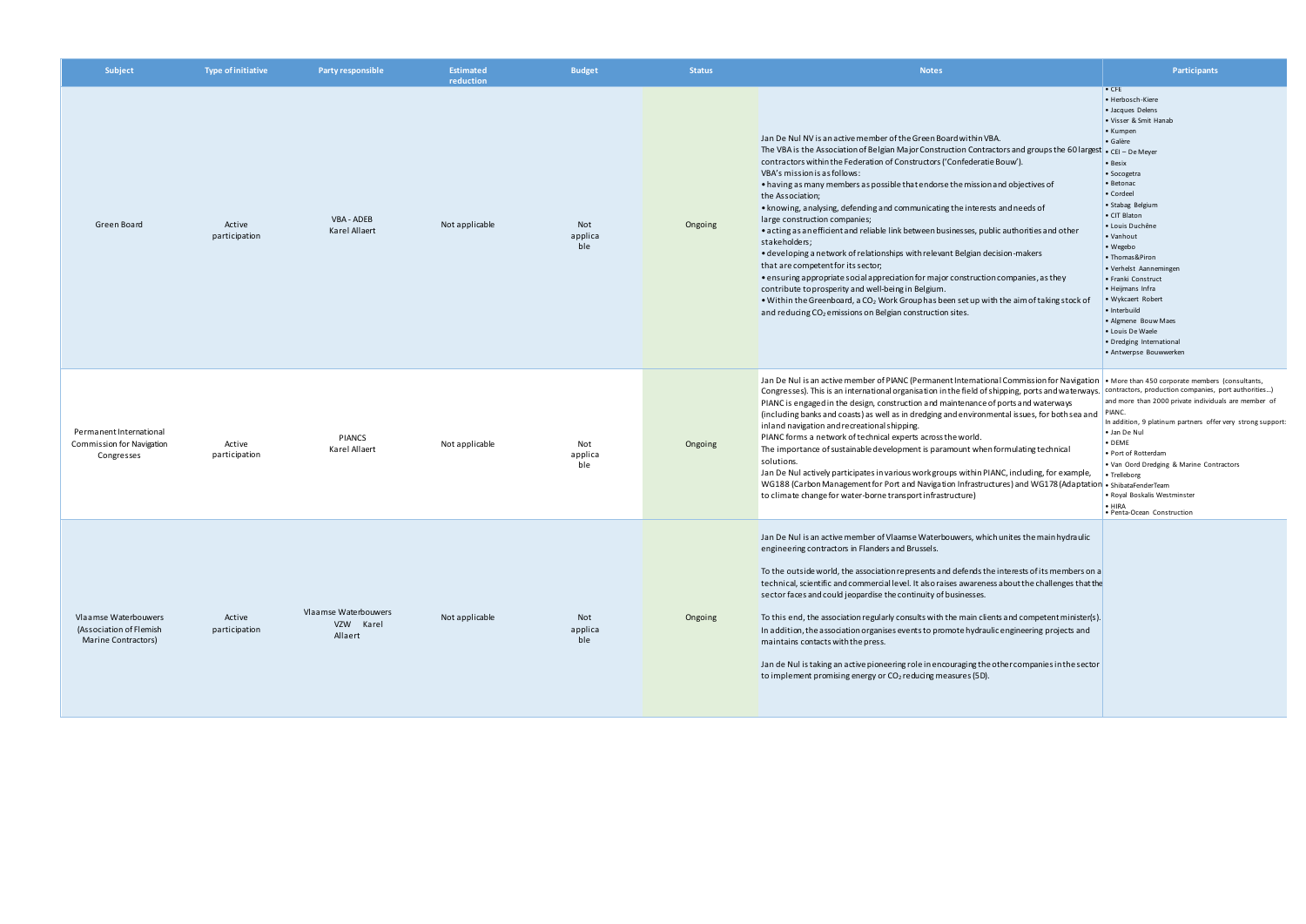| Subject                                                                | <b>Type of initiative</b> | Party responsible                            | <b>Estimated</b><br>reduction | <b>Budget</b>         | <b>Status</b> | <b>Notes</b>                                                                                                                                                                                                                                                                                                                                                                                                                                                                                                                                                                                                                                                                                                                                                                                                                                                                                                                                                                                                                                                         | Participants                                                                                                                                                                                                                                                                                                                                                                                                                                                                               |
|------------------------------------------------------------------------|---------------------------|----------------------------------------------|-------------------------------|-----------------------|---------------|----------------------------------------------------------------------------------------------------------------------------------------------------------------------------------------------------------------------------------------------------------------------------------------------------------------------------------------------------------------------------------------------------------------------------------------------------------------------------------------------------------------------------------------------------------------------------------------------------------------------------------------------------------------------------------------------------------------------------------------------------------------------------------------------------------------------------------------------------------------------------------------------------------------------------------------------------------------------------------------------------------------------------------------------------------------------|--------------------------------------------------------------------------------------------------------------------------------------------------------------------------------------------------------------------------------------------------------------------------------------------------------------------------------------------------------------------------------------------------------------------------------------------------------------------------------------------|
| Green Board                                                            | Active<br>participation   | VBA - ADEB<br>Karel Allaert                  | Not applicable                | Not<br>applica<br>ble | Ongoing       | Jan De Nul NV is an active member of the Green Board within VBA.<br>The VBA is the Association of Belgian Major Construction Contractors and groups the 60 largest<br>contractors within the Federation of Constructors ('Confederatie Bouw').<br>VBA's mission is as follows:<br>• having as many members as possible that endorse the mission and objectives of<br>the Association;<br>• knowing, analysing, defending and communicating the interests and needs of<br>large construction companies;<br>• acting as an efficient and reliable link between businesses, public authorities and other<br>stakeholders;<br>• developing a network of relationships with relevant Belgian decision-makers<br>that are competent for its sector;<br>• ensuring appropriate social appreciation for major construction companies, as they<br>contribute to prosperity and well-being in Belgium.<br>• Within the Greenboard, a $CO2$ Work Group has been set up with the aim of taking stock of<br>and reducing CO <sub>2</sub> emissions on Belgian construction sites. | $\bullet$ CFE<br>• Herbosch-Kiere<br>• Jacques Delens<br>• Visser & Smit Hanab<br>• Kumpen<br>· Galère<br>• CEI - De Meyer<br>• Besix<br>• Socogetra<br>• Betonac<br>• Cordeel<br>· Stabag Belgium<br>• CIT Blaton<br>· Louis Duchêne<br>• Vanhout<br>• Wegebo<br>• Thomas&Piron<br>• Verhelst Aannemingen<br>• Franki Construct<br>• Heijmans Infra<br>• Wykcaert Robert<br>• Interbuild<br>• Algmene Bouw Maes<br>• Louis De Waele<br>• Dredging International<br>• Antwerpse Bouwwerken |
| Permanent International<br>Commission for Navigation<br>Congresses     | Active<br>participation   | <b>PIANCS</b><br>Karel Allaert               | Not applicable                | Not<br>applica<br>ble | Ongoing       | Jan De Nul is an active member of PIANC (Permanent International Commission for Navigation   • More than 450 corporate members (consultants,<br>Congresses). This is an international organisation in the field of shipping, ports and waterways.<br>PIANC is engaged in the design, construction and maintenance of ports and waterways<br>(including banks and coasts) as well as in dredging and environmental issues, for both sea and<br>inland navigation and recreational shipping.<br>PIANC forms a network of technical experts across the world.<br>The importance of sustainable development is paramount when formulating technical<br>solutions.<br>Jan De Nul actively participates in various work groups within PIANC, including, for example,<br>WG188 (Carbon Management for Port and Navigation Infrastructures) and WG178 (Adaptation<br>to climate change for water-borne transport infrastructure)                                                                                                                                             | contractors, production companies, port authorities)<br>and more than 2000 private individuals are member of<br>PIANC.<br>In addition, 9 platinum partners offer very strong support:<br>· Jan De Nul<br>$\bullet$ DEME<br>• Port of Rotterdam<br>. Van Oord Dredging & Marine Contractors<br>• Trelleborg<br>· ShibataFenderTeam<br>· Royal Boskalis Westminster<br>$\bullet$ HIRA<br>· Penta-Ocean Construction                                                                          |
| Vlaamse Waterbouwers<br>(Association of Flemish<br>Marine Contractors) | Active<br>participation   | Vlaamse Waterbouwers<br>VZW Karel<br>Allaert | Not applicable                | Not<br>applica<br>ble | Ongoing       | Jan De Nul is an active member of Vlaamse Waterbouwers, which unites the main hydraulic<br>engineering contractors in Flanders and Brussels.<br>To the outside world, the association represents and defends the interests of its members on a<br>technical, scientific and commercial level. It also raises awareness about the challenges that the<br>sector faces and could jeopardise the continuity of businesses.<br>To this end, the association regularly consults with the main clients and competent minister(s).<br>In addition, the association organises events to promote hydraulic engineering projects and<br>maintains contacts with the press.<br>Jan de Nul is taking an active pioneering role in encouraging the other companies in the sector<br>to implement promising energy or $CO2$ reducing measures (5D).                                                                                                                                                                                                                                |                                                                                                                                                                                                                                                                                                                                                                                                                                                                                            |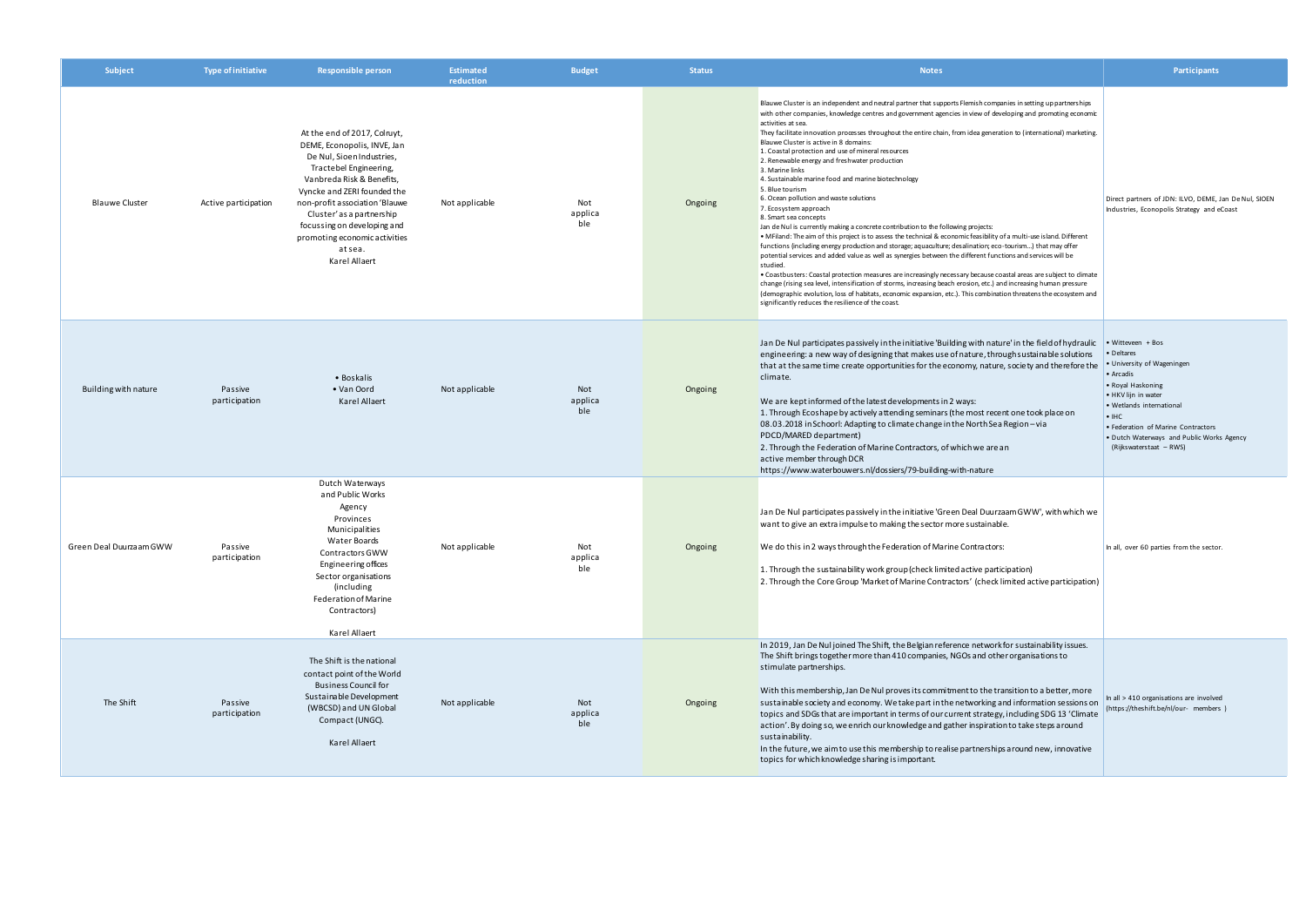| Subject                 | <b>Type of initiative</b> | <b>Responsible person</b>                                                                                                                                                                                                                                                                                                               | <b>Estimated</b><br>reduction | <b>Budget</b>         | <b>Status</b> | <b>Notes</b>                                                                                                                                                                                                                                                                                                                                                                                                                                                                                                                                                                                                                                                                                                                                                                                                                                                                                                                                                                                                                                                                                                                                                                                                                                                                                                                                                                                                                                                                                                                                                                                           | <b>Participants</b>                                                                                                                                                                                                                                        |
|-------------------------|---------------------------|-----------------------------------------------------------------------------------------------------------------------------------------------------------------------------------------------------------------------------------------------------------------------------------------------------------------------------------------|-------------------------------|-----------------------|---------------|--------------------------------------------------------------------------------------------------------------------------------------------------------------------------------------------------------------------------------------------------------------------------------------------------------------------------------------------------------------------------------------------------------------------------------------------------------------------------------------------------------------------------------------------------------------------------------------------------------------------------------------------------------------------------------------------------------------------------------------------------------------------------------------------------------------------------------------------------------------------------------------------------------------------------------------------------------------------------------------------------------------------------------------------------------------------------------------------------------------------------------------------------------------------------------------------------------------------------------------------------------------------------------------------------------------------------------------------------------------------------------------------------------------------------------------------------------------------------------------------------------------------------------------------------------------------------------------------------------|------------------------------------------------------------------------------------------------------------------------------------------------------------------------------------------------------------------------------------------------------------|
| <b>Blauwe Cluster</b>   | Active participation      | At the end of 2017, Colruyt,<br>DEME, Econopolis, INVE, Jan<br>De Nul, Sioen Industries<br>Tractebel Engineering,<br>Vanbreda Risk & Benefits,<br>Vyncke and ZERI founded the<br>non-profit association 'Blauwe<br>Cluster'as a partnership<br>focussing on developing and<br>promoting economic activities<br>at sea.<br>Karel Allaert | Not applicable                | Not<br>applica<br>ble | Ongoing       | Blauwe Cluster is an independent and neutral partner that supports Flemish companies in setting up partnerships<br>with other companies, knowledge centres and government agencies in view of developing and promoting economic<br>activities at sea.<br>They facilitate innovation processes throughout the entire chain, from idea generation to (international) marketing.<br>Blauwe Cluster is active in 8 domains:<br>1. Coastal protection and use of mineral resources<br>2. Renewable energy and freshwater production<br>3. Marine links<br>4. Sustainable marine food and marine biotechnology<br>5. Blue tourism<br>6. Ocean pollution and waste solutions<br>7. Ecosystem approach<br>8. Smart sea concepts<br>Jan de Nul is currently making a concrete contribution to the following projects:<br>• MFiland: The aim of this project is to assess the technical & economic feasibility of a multi-use island. Different<br>functions (including energy production and storage; aquaculture; desalination; eco-tourism) that may offer<br>potential services and added value as well as synergies between the different functions and services will be<br>studied.<br>. Coastbusters: Coastal protection measures are increasingly necessary because coastal areas are subject to dimate<br>change (rising sea level, intensification of storms, increasing beach erosion, etc.) and increasing human pressure<br>(demographic evolution, loss of habitats, economic expansion, etc.). This combination threatens the ecosystem and<br>significantly reduces the resilience of the coast. | Direct partners of JDN: ILVO, DEME, Jan De Nul, SIOEN<br>Industries, Econopolis Strategy and eCoast                                                                                                                                                        |
| Building with nature    | Passive<br>participation  | • Boskalis<br>• Van Oord<br>Karel Allaert                                                                                                                                                                                                                                                                                               | Not applicable                | Not<br>applica<br>ble | Ongoing       | Jan De Nul participates passively in the initiative 'Building with nature' in the field of hydraulic $\bullet$ Witteveen + Bos<br>engineering: a new way of designing that makes use of nature, through sustainable solutions<br>that at the same time create opportunities for the economy, nature, society and therefore the<br>climate.<br>We are kept informed of the latest developments in 2 ways:<br>1. Through Ecoshape by actively attending seminars (the most recent one took place on<br>08.03.2018 in Schoorl: Adapting to climate change in the North Sea Region - via<br>PDCD/MARED department)<br>2. Through the Federation of Marine Contractors, of which we are an<br>active member through DCR<br>https://www.waterbouwers.nl/dossiers/79-building-with-nature                                                                                                                                                                                                                                                                                                                                                                                                                                                                                                                                                                                                                                                                                                                                                                                                                     | • Deltares<br>• University of Wageningen<br>• Arcadis<br>• Royal Haskoning<br>• HKV lijn in water<br>• Wetlands international<br>$\cdot$ IHC<br>• Federation of Marine Contractors<br>• Dutch Waterways and Public Works Agency<br>(Rijkswaterstaat – RWS) |
| Green Deal Duurzaam GWW | Passive<br>participation  | Dutch Waterways<br>and Public Works<br>Agency<br>Provinces<br>Municipalities<br>Water Boards<br>Contractors GWW<br>Engineering offices<br>Sector organisations<br>(including<br>Federation of Marine<br>Contractors)<br>Karel Allaert                                                                                                   | Not applicable                | Not<br>applica<br>ble | Ongoing       | Jan De Nul participates passively in the initiative 'Green Deal Duurzaam GWW', with which we<br>want to give an extra impulse to making the sector more sustainable.<br>We do this in 2 ways through the Federation of Marine Contractors:<br>1. Through the sustainability work group (check limited active participation)<br>2. Through the Core Group 'Market of Marine Contractors' (check limited active participation)                                                                                                                                                                                                                                                                                                                                                                                                                                                                                                                                                                                                                                                                                                                                                                                                                                                                                                                                                                                                                                                                                                                                                                           | In all, over 60 parties from the sector.                                                                                                                                                                                                                   |
| The Shift               | Passive<br>participation  | The Shift is the national<br>contact point of the World<br><b>Business Council for</b><br>Sustainable Development<br>(WBCSD) and UN Global<br>Compact (UNGC).<br>Karel Allaert                                                                                                                                                          | Not applicable                | Not<br>applica<br>ble | Ongoing       | In 2019, Jan De Nul joined The Shift, the Belgian reference network for sustainability issues.<br>The Shift brings together more than 410 companies, NGOs and other organisations to<br>stimulate partnerships.<br>With this membership, Jan De Nul proves its commitment to the transition to a better, more<br>sustainable society and economy. We take part in the networking and information sessions on<br>topics and SDGs that are important in terms of our current strategy, including SDG 13 'Climate<br>action'. By doing so, we enrich our knowledge and gather inspiration to take steps around<br>sustainability.<br>In the future, we aim to use this membership to realise partnerships around new, innovative<br>topics for which knowledge sharing is important.                                                                                                                                                                                                                                                                                                                                                                                                                                                                                                                                                                                                                                                                                                                                                                                                                      | In all > 410 organisations are involved<br>(https://theshift.be/nl/our- members)                                                                                                                                                                           |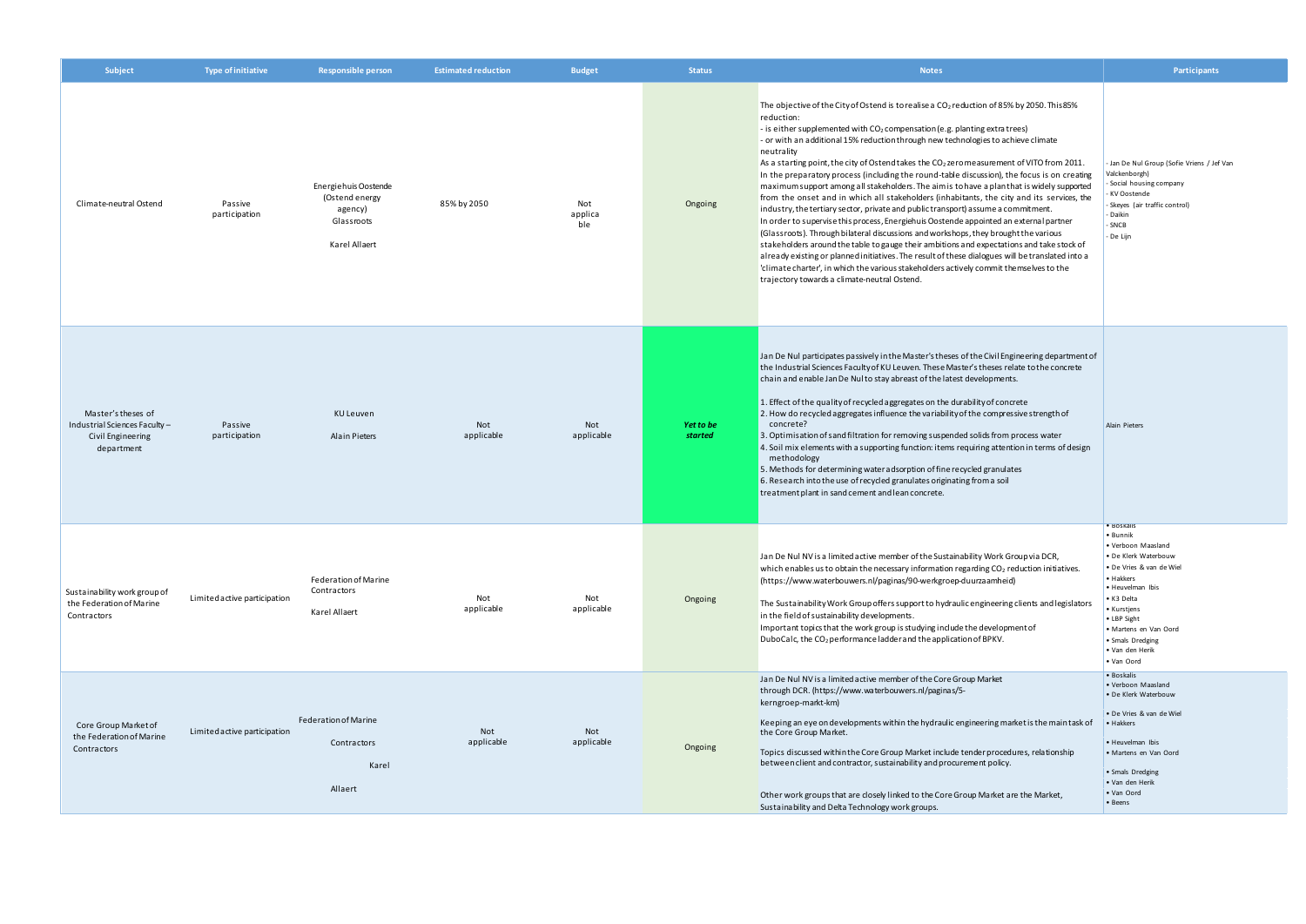| Subject                                                                                | <b>Type of initiative</b>    | <b>Responsible person</b>                                                        | <b>Estimated reduction</b> | <b>Budget</b>         | <b>Status</b>        | <b>Notes</b>                                                                                                                                                                                                                                                                                                                                                                                                                                                                                                                                                                                                                                                                                                                                                                                                                                                                                                                                                                                                                                                                                                                                                                                                                                                                                                      | Participants                                                                                                                                                                                                                                              |
|----------------------------------------------------------------------------------------|------------------------------|----------------------------------------------------------------------------------|----------------------------|-----------------------|----------------------|-------------------------------------------------------------------------------------------------------------------------------------------------------------------------------------------------------------------------------------------------------------------------------------------------------------------------------------------------------------------------------------------------------------------------------------------------------------------------------------------------------------------------------------------------------------------------------------------------------------------------------------------------------------------------------------------------------------------------------------------------------------------------------------------------------------------------------------------------------------------------------------------------------------------------------------------------------------------------------------------------------------------------------------------------------------------------------------------------------------------------------------------------------------------------------------------------------------------------------------------------------------------------------------------------------------------|-----------------------------------------------------------------------------------------------------------------------------------------------------------------------------------------------------------------------------------------------------------|
| Climate-neutral Ostend                                                                 | Passive<br>participation     | Energiehuis Oostende<br>(Ostend energy<br>agency)<br>Glassroots<br>Karel Allaert | 85% by 2050                | Not<br>applica<br>ble | Ongoing              | The objective of the City of Ostend is to realise a $CO2$ reduction of 85% by 2050. This 85%<br>reduction:<br>- is either supplemented with $CO2$ compensation (e.g. planting extra trees)<br>- or with an additional 15% reduction through new technologies to achieve climate<br>neutrality<br>As a starting point, the city of Ostend takes the CO <sub>2</sub> zero measurement of VITO from 2011.<br>In the preparatory process (including the round-table discussion), the focus is on creating<br>maximum support among all stakeholders. The aim is to have a plan that is widely supported<br>from the onset and in which all stakeholders (inhabitants, the city and its services, the<br>industry, the tertiary sector, private and public transport) assume a commitment.<br>In order to supervise this process, Energiehuis Oostende appointed an external partner<br>(Glassroots). Through bilateral discussions and workshops, they brought the various<br>stakeholders around the table to gauge their ambitions and expectations and take stock of<br>already existing or planned initiatives. The result of these dialogues will be translated into a<br>'climate charter', in which the various stakeholders actively commit themselves to the<br>trajectory towards a climate-neutral Ostend. | Jan De Nul Group (Sofie Vriens / Jef Van<br>Valckenborgh)<br>Social housing company<br>KV Oostende<br>Skeyes (air traffic control)<br>Daikin<br>SNCB<br>De Lijn                                                                                           |
| Master's theses of<br>Industrial Sciences Faculty -<br>Civil Engineering<br>department | Passive<br>participation     | <b>KU Leuven</b><br><b>Alain Pieters</b>                                         | Not<br>applicable          | Not<br>applicable     | Yet to be<br>started | Jan De Nul participates passively in the Master's theses of the Civil Engineering department of<br>the Industrial Sciences Faculty of KU Leuven. These Master's theses relate to the concrete<br>chain and enable Jan De Nul to stay abreast of the latest developments.<br>1. Effect of the quality of recycled aggregates on the durability of concrete<br>2. How do recycled aggregates influence the variability of the compressive strength of<br>concrete?<br>3. Optimisation of sand filtration for removing suspended solids from process water<br>4. Soil mix elements with a supporting function: items requiring attention in terms of design<br>methodology<br>5. Methods for determining water adsorption of fine recycled granulates<br>6. Research into the use of recycled granulates originating from a soil<br>treatment plant in sand cement and lean concrete.                                                                                                                                                                                                                                                                                                                                                                                                                                | Alain Pieters                                                                                                                                                                                                                                             |
| Sustainability work group of<br>the Federation of Marine<br>Contractors                | Limited active participation | Federation of Marine<br>Contractors<br>Karel Allaert                             | Not<br>applicable          | Not<br>applicable     | Ongoing              | Jan De Nul NV is a limited active member of the Sustainability Work Group via DCR,<br>which enables us to obtain the necessary information regarding CO <sub>2</sub> reduction initiatives.<br>(https://www.waterbouwers.nl/paginas/90-werkgroep-duurzaamheid)<br>The Sustainability Work Group offers support to hydraulic engineering clients and legislators<br>in the field of sustainability developments.<br>Important topics that the work group is studying include the development of<br>DuboCalc, the CO <sub>2</sub> performance ladder and the application of BPKV.                                                                                                                                                                                                                                                                                                                                                                                                                                                                                                                                                                                                                                                                                                                                   | · Boskalis<br>• Bunnik<br>Verboon Maasland<br>• De Klerk Waterbouw<br>· De Vries & van de Wiel<br>• Hakkers<br>· Heuvelman Ibis<br>• K3 Delta<br>• Kurstjens<br>• LBP Sight<br>· Martens en Van Oord<br>• Smals Dredging<br>• Van den Herik<br>• Van Oord |
| Core Group Market of<br>the Federation of Marine<br>Contractors                        | Limited active participation | Federation of Marine<br>Contractors<br>Karel<br>Allaert                          | Not<br>applicable          | Not<br>applicable     | Ongoing              | Jan De Nul NV is a limited active member of the Core Group Market<br>through DCR. (https://www.waterbouwers.nl/paginas/5-<br>kerngroep-markt-km)<br>Keeping an eye on developments within the hydraulic engineering market is the main task of<br>the Core Group Market.<br>Topics discussed within the Core Group Market include tender procedures, relationship<br>between client and contractor, sustainability and procurement policy.<br>Other work groups that are closely linked to the Core Group Market are the Market,<br>Sustainability and Delta Technology work groups.                                                                                                                                                                                                                                                                                                                                                                                                                                                                                                                                                                                                                                                                                                                              | · Boskalis<br>• Verboon Maasland<br>• De Klerk Waterbouw<br>• De Vries & van de Wiel<br>• Hakkers<br>• Heuvelman Ibis<br>• Martens en Van Oord<br>• Smals Dredging<br>• Van den Herik<br>• Van Oord<br>• Beens                                            |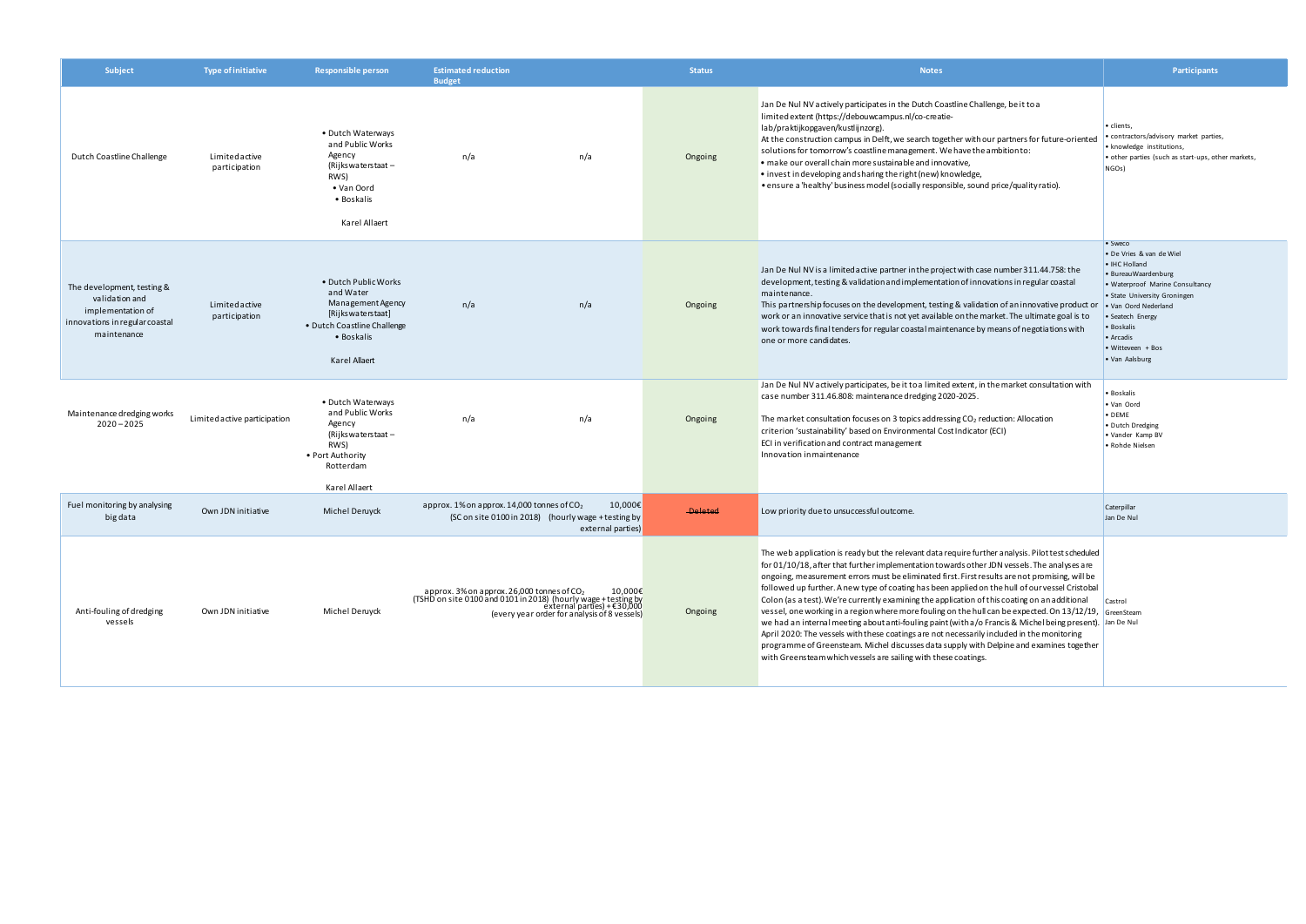| Subject                                                                                                            | <b>Type of initiative</b>      | <b>Responsible person</b>                                                                                                                 | <b>Estimated reduction</b><br><b>Budget</b>                                                                                                                                                             |                              | <b>Status</b>  | <b>Notes</b>                                                                                                                                                                                                                                                                                                                                                                                                                                                                                                                                                                                                                                                                                                                                                                                                                                                                                                                                                                                  | <b>Participants</b>                                                                                                                                                                                                                                          |
|--------------------------------------------------------------------------------------------------------------------|--------------------------------|-------------------------------------------------------------------------------------------------------------------------------------------|---------------------------------------------------------------------------------------------------------------------------------------------------------------------------------------------------------|------------------------------|----------------|-----------------------------------------------------------------------------------------------------------------------------------------------------------------------------------------------------------------------------------------------------------------------------------------------------------------------------------------------------------------------------------------------------------------------------------------------------------------------------------------------------------------------------------------------------------------------------------------------------------------------------------------------------------------------------------------------------------------------------------------------------------------------------------------------------------------------------------------------------------------------------------------------------------------------------------------------------------------------------------------------|--------------------------------------------------------------------------------------------------------------------------------------------------------------------------------------------------------------------------------------------------------------|
| Dutch Coastline Challenge                                                                                          | Limitedactive<br>participation | • Dutch Waterways<br>and Public Works<br>Agency<br>(Rijks waterstaat –<br>RWS)<br>• Van Oord<br>• Boskalis<br>Karel Allaert               | n/a<br>n/a                                                                                                                                                                                              |                              | Ongoing        | Jan De Nul NV actively participates in the Dutch Coastline Challenge, be it to a<br>limited extent (https://debouwcampus.nl/co-creatie-<br>lab/praktijkopgaven/kustlijnzorg).<br>At the construction campus in Delft, we search together with our partners for future-oriented<br>solutions for tomorrow's coastline management. We have the ambition to:<br>• make our overall chain more sustainable and innovative,<br>• invest in developing and sharing the right (new) knowledge,<br>• ensure a 'healthy' business model (socially responsible, sound price/quality ratio).                                                                                                                                                                                                                                                                                                                                                                                                             | • clients,<br>contractors/advisory market parties,<br>· knowledge institutions,<br>• other parties (such as start-ups, other markets,<br>NGOs)                                                                                                               |
| The development, testing &<br>validation and<br>implementation of<br>innovations in regular coastal<br>maintenance | Limitedactive<br>participation | • Dutch Public Works<br>and Water<br>Management Agency<br>[Rijkswaterstaat]<br>• Dutch Coastline Challenge<br>• Boskalis<br>Karel Allaert | n/a<br>n/a                                                                                                                                                                                              |                              | Ongoing        | Jan De Nul NV is a limited active partner in the project with case number 311.44.758: the<br>development, testing & validation and implementation of innovations in regular coastal<br>maintenance.<br>This partnership focuses on the development, testing & validation of an innovative product or<br>work or an innovative service that is not yet available on the market. The ultimate goal is to<br>work towards final tenders for regular coastal maintenance by means of negotiations with<br>one or more candidates.                                                                                                                                                                                                                                                                                                                                                                                                                                                                 | • Sweco<br>• De Vries & van de Wiel<br>• IHC Holland<br>· BureauWaardenburg<br>· Waterproof Marine Consultancy<br>• State University Groningen<br>. Van Oord Nederland<br>· Seatech Energy<br>· Boskalis<br>• Arcadis<br>• Witteveen + Bos<br>• Van Aalsburg |
| Maintenance dredging works<br>$2020 - 2025$                                                                        | Limited active participation   | • Dutch Waterways<br>and Public Works<br>Agency<br>(Rijks waterstaat -<br>RWS)<br>• Port Authority<br>Rotterdam<br>Karel Allaert          | n/a<br>n/a                                                                                                                                                                                              |                              | Ongoing        | Jan De Nul NV actively participates, be it to a limited extent, in the market consultation with<br>case number 311.46.808: maintenance dredging 2020-2025.<br>The market consultation focuses on 3 topics addressing $CO2$ reduction: Allocation<br>criterion 'sustainability' based on Environmental Cost Indicator (ECI)<br>ECI in verification and contract management<br>Innovation in maintenance                                                                                                                                                                                                                                                                                                                                                                                                                                                                                                                                                                                        | · Boskalis<br>· Van Oord<br>· DEME<br>· Dutch Dredging<br>• Vander Kamp BV<br>· Rohde Nielsen                                                                                                                                                                |
| Fuel monitoring by analysing<br>big data                                                                           | Own JDN initiative             | Michel Deruyck                                                                                                                            | approx. 1% on approx. 14,000 tonnes of $CO2$<br>(SC on site 0100 in 2018) (hourly wage + testing by                                                                                                     | 10,000€<br>external parties) | <b>Deleted</b> | Low priority due to unsucces sful outcome.                                                                                                                                                                                                                                                                                                                                                                                                                                                                                                                                                                                                                                                                                                                                                                                                                                                                                                                                                    | Caterpillar<br>Jan De Nul                                                                                                                                                                                                                                    |
| Anti-fouling of dredging<br>vessels                                                                                | Own JDN initiative             | Michel Deruyck                                                                                                                            | approx. 3% on approx. 26,000 tonnes of CO <sub>2</sub><br>(TSHD on site 0100 and 0101 in 2018) (hourly wage + testing by<br>external parties) + €30,000<br>(every year order for analysis of 8 vessels) | 10,000€                      | Ongoing        | The web application is ready but the relevant data require further analysis. Pilot test scheduled<br>for 01/10/18, after that further implementation towards other JDN vessels. The analyses are<br>ongoing, measurement errors must be eliminated first. First results are not promising, will be<br>followed up further. A new type of coating has been applied on the hull of our vessel Cristobal<br>Colon (as a test). We're currently examining the application of this coating on an additional<br>vessel, one working in a region where more fouling on the hull can be expected. On $13/12/19$ , GreenSteam<br>we had an internal meeting about anti-fouling paint (with a/o Francis & Michel being present). Jan De Nul<br>April 2020: The vessels with these coatings are not necessarily included in the monitoring<br>programme of Greensteam. Michel discusses data supply with Delpine and examines together<br>with Greensteam which vessels are sailing with these coatings. | Castrol                                                                                                                                                                                                                                                      |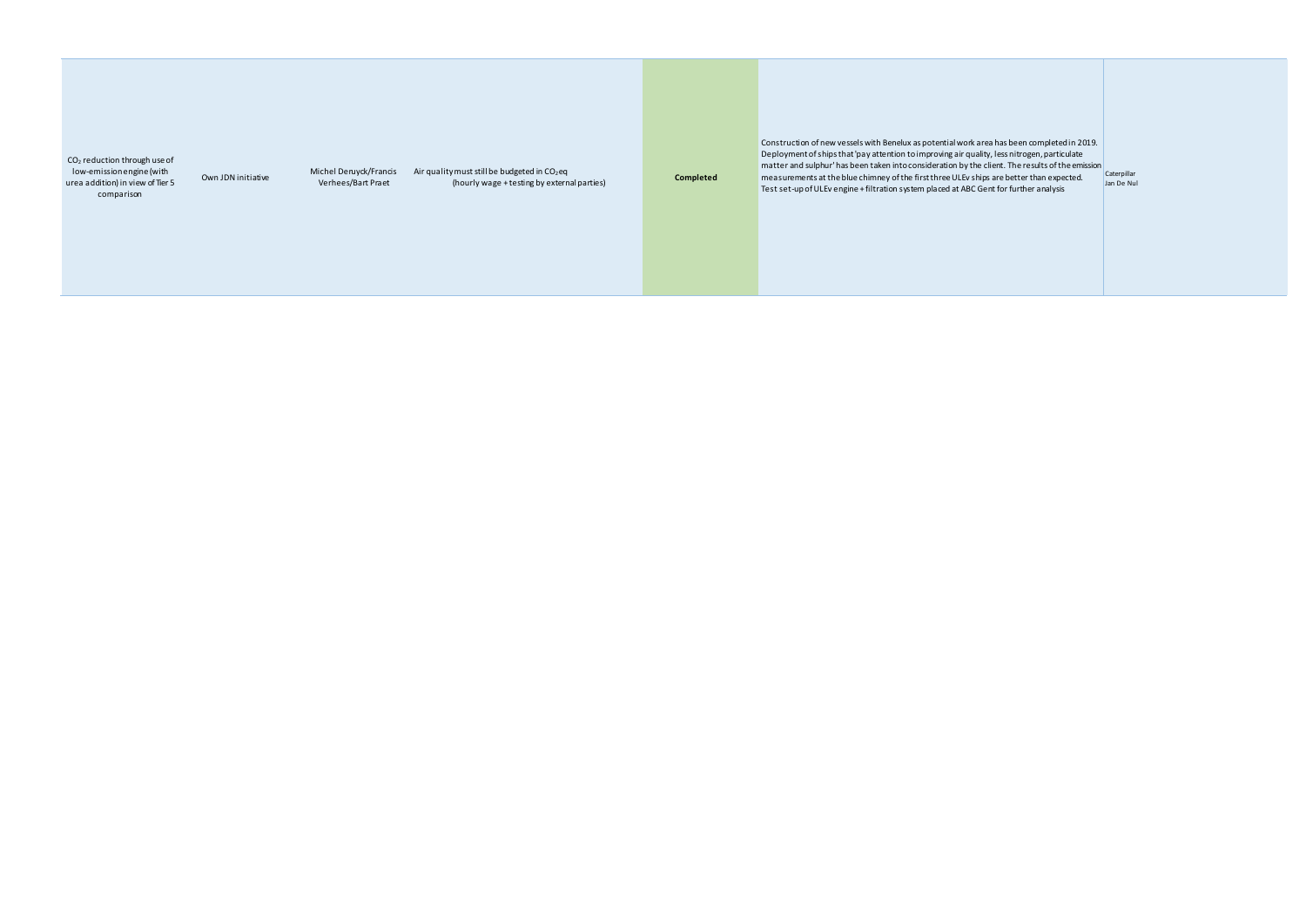CO<sup>2</sup> reduction through use of low-emission engine (with urea addition) in view of Tier 5 comparison

Own JDN initiative

Michel Deruyck/Francis Air quality must still be budgeted in  $CO<sub>2</sub>$ eq (hourly wage + testing by external parties) **Completed**

Verhees/Bart Praet

Construction of new vessels with Benelux as potential work area has been completed in 2019. Deployment of ships that 'pay attention to improving air quality, less nitrogen, particulate matter and sulphur' has been taken into consideration by the client. The results of the emission measurements at the blue chimney of the first three ULEv ships are better than expected.  $\frac{Caterpillar}{log Do}$ Test set-up of ULEv engine + filtration system placed at ABC Gent for further analysis

Jan De Nul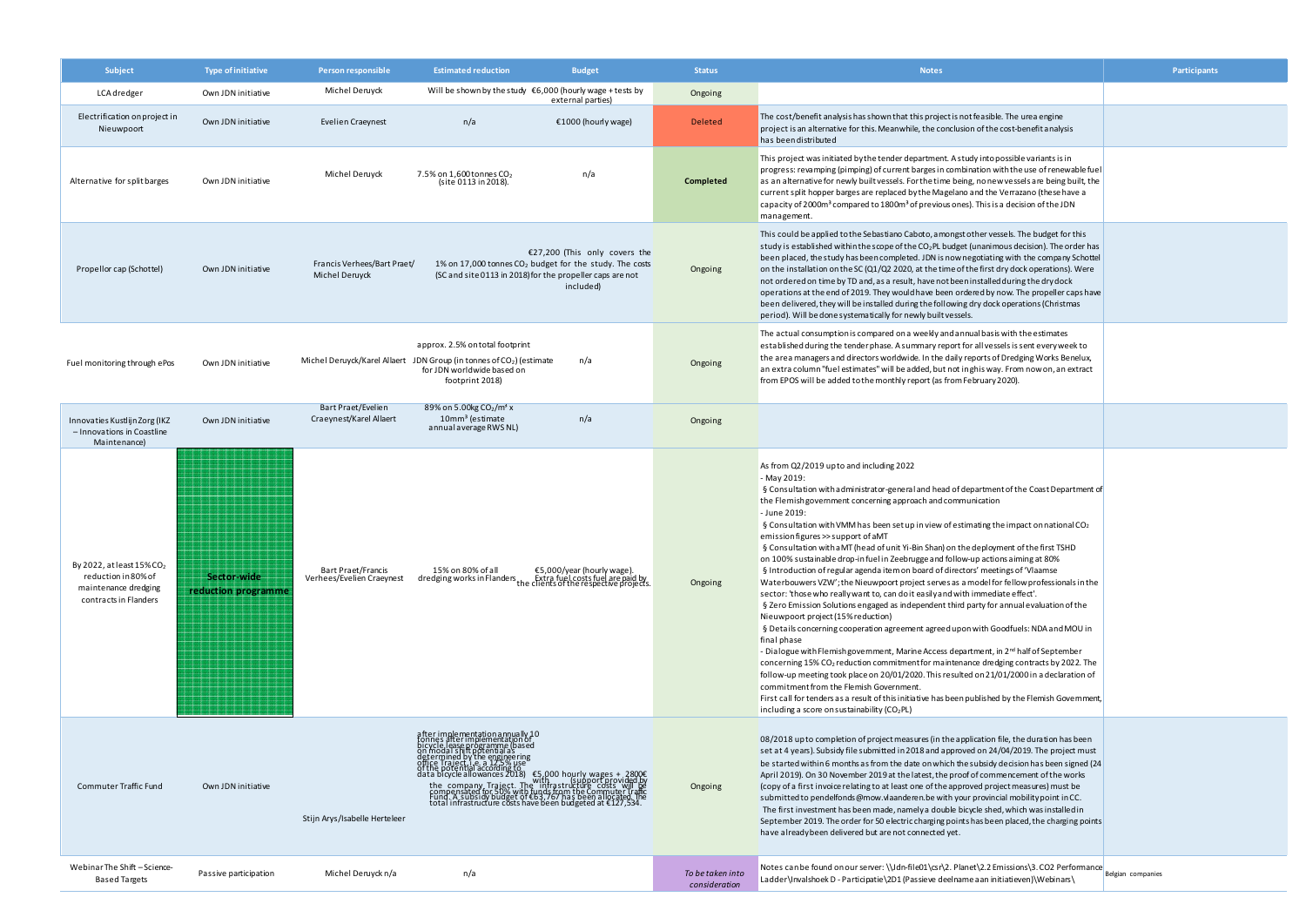| Subject                                                                                                          | Type of initiative                 | Person responsible                                     | <b>Estimated reduction</b>                                                                                                                                                                                                                | <b>Budget</b>                                                                                           | <b>Status</b>                     | <b>Notes</b>                                                                                                                                                                                                                                                                                                                                                                                                                                                                                                                                                                                                                                                                                                                                                                                                                                                                                                                                                                                                                                                                                                                                                                                                                                                                                                                                                                                                                                                                                                                                                                                 | Participants      |
|------------------------------------------------------------------------------------------------------------------|------------------------------------|--------------------------------------------------------|-------------------------------------------------------------------------------------------------------------------------------------------------------------------------------------------------------------------------------------------|---------------------------------------------------------------------------------------------------------|-----------------------------------|----------------------------------------------------------------------------------------------------------------------------------------------------------------------------------------------------------------------------------------------------------------------------------------------------------------------------------------------------------------------------------------------------------------------------------------------------------------------------------------------------------------------------------------------------------------------------------------------------------------------------------------------------------------------------------------------------------------------------------------------------------------------------------------------------------------------------------------------------------------------------------------------------------------------------------------------------------------------------------------------------------------------------------------------------------------------------------------------------------------------------------------------------------------------------------------------------------------------------------------------------------------------------------------------------------------------------------------------------------------------------------------------------------------------------------------------------------------------------------------------------------------------------------------------------------------------------------------------|-------------------|
| LCA dredger                                                                                                      | Own JDN initiative                 | Michel Deruyck                                         | Will be shown by the study $\epsilon$ 6,000 (hourly wage + tests by                                                                                                                                                                       | external parties)                                                                                       | Ongoing                           |                                                                                                                                                                                                                                                                                                                                                                                                                                                                                                                                                                                                                                                                                                                                                                                                                                                                                                                                                                                                                                                                                                                                                                                                                                                                                                                                                                                                                                                                                                                                                                                              |                   |
| Electrification on project in<br>Nieuwpoort                                                                      | Own JDN initiative                 | <b>Evelien Craeynest</b>                               | n/a                                                                                                                                                                                                                                       | €1000 (hourly wage)                                                                                     | <b>Deleted</b>                    | The cost/benefit analysis has shown that this project is not feasible. The urea engine<br>project is an alternative for this. Meanwhile, the conclusion of the cost-benefit analysis<br>has been distributed                                                                                                                                                                                                                                                                                                                                                                                                                                                                                                                                                                                                                                                                                                                                                                                                                                                                                                                                                                                                                                                                                                                                                                                                                                                                                                                                                                                 |                   |
| Alternative for split barges                                                                                     | Own JDN initiative                 | Michel Deruyck                                         | 7.5% on $1,600$ tonnes $CO2$<br>(site 0113 in 2018).                                                                                                                                                                                      | n/a                                                                                                     | Completed                         | This project was initiated by the tender department. A study into possible variants is in<br>progress: revamping (pimping) of current barges in combination with the use of renewable fuel<br>as an alternative for newly built vessels. For the time being, no new vessels are being built, the<br>current split hopper barges are replaced by the Magelano and the Verrazano (these have a<br>capacity of 2000m <sup>3</sup> compared to 1800m <sup>3</sup> of previous ones). This is a decision of the JDN<br>management.                                                                                                                                                                                                                                                                                                                                                                                                                                                                                                                                                                                                                                                                                                                                                                                                                                                                                                                                                                                                                                                                |                   |
| Propellor cap (Schottel)                                                                                         | Own JDN initiative                 | Francis Verhees/Bart Praet/<br>Michel Deruyck          | (SC and site 0113 in 2018) for the propeller caps are not                                                                                                                                                                                 | €27,200 (This only covers the<br>1% on 17,000 tonnes $CO2$ budget for the study. The costs<br>included) | Ongoing                           | This could be applied to the Sebastiano Caboto, a mongst other vessels. The budget for this<br>study is established within the scope of the $CO2PL$ budget (unanimous decision). The order has<br>been placed, the study has been completed. JDN is now negotiating with the company Schottel<br>on the installation on the SC (Q1/Q2 2020, at the time of the first dry dock operations). Were<br>not ordered on time by TD and, as a result, have not been installed during the dry dock<br>operations at the end of 2019. They would have been ordered by now. The propeller caps have<br>been delivered, they will be installed during the following dry dock operations (Christmas<br>period). Will be done systematically for newly built vessels.                                                                                                                                                                                                                                                                                                                                                                                                                                                                                                                                                                                                                                                                                                                                                                                                                                     |                   |
| Fuel monitoring through ePos                                                                                     | Own JDN initiative                 |                                                        | approx. 2.5% on total footprint<br>Michel Deruyck/Karel Allaert JDN Group (in tonnes of CO <sub>2</sub> ) (estimate<br>for JDN worldwide based on<br>footprint 2018)                                                                      | n/a                                                                                                     | Ongoing                           | The actual consumption is compared on a weekly and annual basis with the estimates<br>established during the tender phase. A summary report for all vessels is sent every week to<br>the area managers and directors worldwide. In the daily reports of Dredging Works Benelux,<br>an extra column "fuel estimates" will be added, but not inghis way. From now on, an extract<br>from EPOS will be added to the monthly report (as from February 2020).                                                                                                                                                                                                                                                                                                                                                                                                                                                                                                                                                                                                                                                                                                                                                                                                                                                                                                                                                                                                                                                                                                                                     |                   |
| Innovaties Kustlijn Zorg (IKZ<br>- Innovations in Coastline<br>Maintenance)                                      | Own JDN initiative                 | Bart Praet/Evelien<br>Craeynest/Karel Allaert          | 89% on 5.00kg CO <sub>2</sub> /m <sup>3</sup> x<br>10mm <sup>3</sup> (estimate<br>annual average RWS NL)                                                                                                                                  | n/a                                                                                                     | Ongoing                           |                                                                                                                                                                                                                                                                                                                                                                                                                                                                                                                                                                                                                                                                                                                                                                                                                                                                                                                                                                                                                                                                                                                                                                                                                                                                                                                                                                                                                                                                                                                                                                                              |                   |
| By 2022, at least $15\%$ CO <sub>2</sub><br>reduction in 80% of<br>maintenance dredging<br>contracts in Flanders | Sector-wide<br>reduction programme | <b>Bart Praet/Francis</b><br>Verhees/Evelien Craeynest | 15% on 80% of all<br>dredging works in Flanders the Extra fuel costs fuel are paid by<br>the clients of the respective projects.                                                                                                          | €5,000/year (hourly wage)                                                                               | Ongoing                           | As from Q2/2019 up to and including 2022<br>- May 2019:<br>§ Consultation with administrator-general and head of department of the Coast Department of<br>the Flemish government concerning approach and communication<br>- June 2019:<br>§ Consultation with VMM has been set up in view of estimating the impact on national $CO2$<br>emission figures >> support of aMT<br>§ Consultation with a MT (head of unit Yi-Bin Shan) on the deployment of the first TSHD<br>on 100% sustainable drop-infuel in Zeebrugge and follow-up actions aiming at 80%<br>§ Introduction of regular agenda item on board of directors' meetings of 'Vlaamse<br>Waterbouwers VZW'; the Nieuwpoort project serves as a model for fellow professionals in the<br>sector: 'those who really want to, can do it easily and with immediate effect'.<br>§ Zero Emission Solutions engaged as independent third party for annual evaluation of the<br>Nieuwpoort project (15% reduction)<br>§ Details concerning cooperation agreement agreed upon with Goodfuels: NDA and MOU in<br>final phase<br>- Dialogue with Flemish government, Marine Access department, in 2 <sup>nd</sup> half of September<br>concerning 15% CO <sub>2</sub> reduction commitment for maintenance dredging contracts by 2022. The<br>follow-up meeting took place on 20/01/2020. This resulted on 21/01/2000 in a declaration of<br>commitment from the Flemish Government.<br>First call for tenders as a result of this initiative has been published by the Flemish Government,<br>including a score on sustainability ( $CO2PL$ ) |                   |
| <b>Commuter Traffic Fund</b>                                                                                     | Own JDN initiative                 | Stijn Arys/Isabelle Herteleer                          | after implementation annually 10<br>piones after implementation of<br>on modal ship the engage dased<br>on modal ship the engage and<br>offree maje child score in the space of the pole of the pole of the data bicycle allowances 2018) |                                                                                                         | Ongoing                           | 08/2018 up to completion of project measures (in the application file, the duration has been<br>set at 4 years). Subsidy file submitted in 2018 and approved on 24/04/2019. The project must<br>be started within 6 months as from the date on which the subsidy decision has been signed (24)<br>April 2019). On 30 November 2019 at the latest, the proof of commencement of the works<br>(copy of a first invoice relating to at least one of the approved project measures) must be<br>submitted to pendelfonds @mow.vlaanderen.be with your provincial mobility point in CC.<br>The first investment has been made, namely a double bicycle shed, which was installed in<br>September 2019. The order for 50 electric charging points has been placed, the charging points<br>have already been delivered but are not connected yet.                                                                                                                                                                                                                                                                                                                                                                                                                                                                                                                                                                                                                                                                                                                                                    |                   |
| Webinar The Shift - Science-<br>Based Targets                                                                    | Passive participation              | Michel Deruyck n/a                                     | n/a                                                                                                                                                                                                                                       |                                                                                                         | To be taken into<br>consideration | Notes can be found on our server: \\Jdn-file01\csr\2. Planet\2.2 Emissions\3. CO2 Performance<br>Ladder\Invalshoek D - Participatie\2D1 (Passieve deelname aan initiatieven)\Webinars\                                                                                                                                                                                                                                                                                                                                                                                                                                                                                                                                                                                                                                                                                                                                                                                                                                                                                                                                                                                                                                                                                                                                                                                                                                                                                                                                                                                                       | Belgian companies |